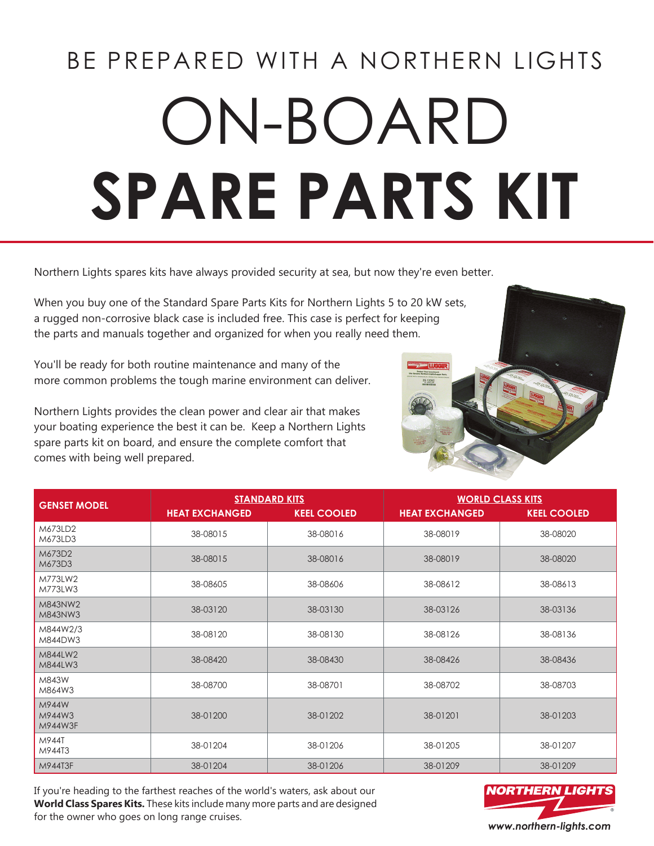# BE PREPARED WITH A NORTHERN LIGHTS ON-BOARD **SPARE PARTS KIT**

Northern Lights spares kits have always provided security at sea, but now they're even better.

When you buy one of the Standard Spare Parts Kits for Northern Lights 5 to 20 kW sets, a rugged non-corrosive black case is included free. This case is perfect for keeping the parts and manuals together and organized for when you really need them.

You'll be ready for both routine maintenance and many of the more common problems the tough marine environment can deliver.

Northern Lights provides the clean power and clear air that makes your boating experience the best it can be. Keep a Northern Lights spare parts kit on board, and ensure the complete comfort that comes with being well prepared.

| <b>GENSET MODEL</b>        | <b>STANDARD KITS</b>  |                    | <b>WORLD CLASS KITS</b> |                    |
|----------------------------|-----------------------|--------------------|-------------------------|--------------------|
|                            | <b>HEAT EXCHANGED</b> | <b>KEEL COOLED</b> | <b>HEAT EXCHANGED</b>   | <b>KEEL COOLED</b> |
| M673LD2<br>M673LD3         | 38-08015              | 38-08016           | 38-08019                | 38-08020           |
| M673D2<br>M673D3           | 38-08015              | 38-08016           | 38-08019                | 38-08020           |
| M773LW2<br>M773LW3         | 38-08605              | 38-08606           | 38-08612                | 38-08613           |
| M843NW2<br>M843NW3         | 38-03120              | 38-03130           | 38-03126                | 38-03136           |
| M844W2/3<br>M844DW3        | 38-08120              | 38-08130           | 38-08126                | 38-08136           |
| M844LW2<br>M844LW3         | 38-08420              | 38-08430           | 38-08426                | 38-08436           |
| M843W<br>M864W3            | 38-08700              | 38-08701           | 38-08702                | 38-08703           |
| M944W<br>M944W3<br>M944W3F | 38-01200              | 38-01202           | 38-01201                | 38-01203           |
| M944T<br>M944T3            | 38-01204              | 38-01206           | 38-01205                | 38-01207           |
| M944T3F                    | 38-01204              | 38-01206           | 38-01209                | 38-01209           |

If you're heading to the farthest reaches of the world's waters, ask about our **World Class Spares Kits.** These kits include many more parts and are designed for the owner who goes on long range cruises. *www.northern-lights.com*



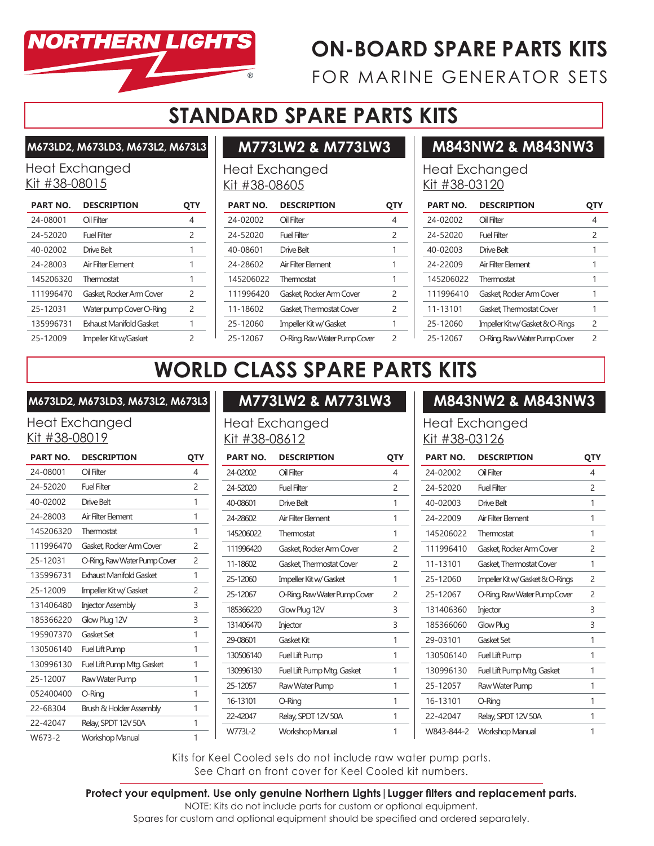

## **ON-BOARD SPARE PARTS KITS**

FOR MARINE GENERATOR SETS

## **STANDARD SPARE PARTS KITS**

**M673LD2, M673LD3, M673L2, M673L3**

#### Heat Exchanged Kit #38-08015

| <b>PART NO.</b> | <b>DESCRIPTION</b>       | UIY           |
|-----------------|--------------------------|---------------|
| 24-08001        | Oil Filter               | 4             |
| 24-52020        | Fuel Filter              | $\mathcal{P}$ |
| 40-02002        | Drive Belt               | 1             |
| 24-28003        | Air Filter Flement       | 1             |
| 145206320       | Thermostat               | 1             |
| 111996470       | Gasket, Rocker Arm Cover | $\mathcal{P}$ |
| 25-12031        | Water pump Cover O-Ring  | $\mathcal{P}$ |
| 135996731       | Exhaust Manifold Gasket  | 1             |
| 25-12009        | Impeller Kit w/Gasket    | ς             |

## **M773LW2 & M773LW3**

Heat Exchanged Kit #38-08605

| <b>PART NO.</b> | <b>DESCRIPTION</b>           | UIY           |
|-----------------|------------------------------|---------------|
| 24-02002        | Oil Filter                   | 4             |
| 24-52020        | Fuel Filter                  | $\mathcal{P}$ |
| 40-08601        | Drive Belt                   | 1             |
| 24-28602        | Air Filter Element           | 1             |
| 145206022       | Thermostat                   | 1             |
| 111996420       | Gasket Rocker Arm Cover      | 2             |
| 11-18602        | Gasket Thermostat Cover      | 2             |
| 25-12060        | Impeller Kit w/ Gasket       | 1             |
| 25-12067        | O-Ring, Raw Water Pump Cover | 2             |

#### **M843NW2 & M843NW3**

#### Heat Exchanged Kit #38-03120

| <b>PART NO.</b> | <b>DESCRIPTION</b>               | UIY           |
|-----------------|----------------------------------|---------------|
| 24-02002        | Oil Filter                       | 4             |
| 24-52020        | Fuel Filter                      | 2             |
| 40-02003        | Drive Belt                       | 1             |
| 24-22009        | Air Filter Flement               | 1             |
| 145206022       | Thermostat                       | 1             |
| 111996410       | Gasket Rocker Arm Cover          | 1             |
| 11-13101        | Gasket, Thermostat Cover         | 1             |
| 25-12060        | Impeller Kit w/ Gasket & O-Rings | 2             |
| 25-12067        | O-Ring, Raw Water Pump Cover     | $\mathcal{P}$ |

# **WORLD CLASS SPARE PARTS KITS**

#### **M673LD2, M673LD3, M673L2, M673L3**

#### Heat Exchanged Kit #38-08019

| <b>PART NO.</b> | <b>DESCRIPTION</b>           | QTY            |
|-----------------|------------------------------|----------------|
| 24-08001        | Oil Filter                   | 4              |
| 24-52020        | <b>Fuel Filter</b>           | $\overline{c}$ |
| 40-02002        | Drive Belt                   | 1              |
| 24-28003        | Air Filter Element           | 1              |
| 145206320       | Thermostat                   | 1              |
| 111996470       | Gasket Rocker Arm Cover      | $\mathcal{P}$  |
| 25-12031        | O-Ring, Raw Water Pump Cover | 2              |
| 135996731       | Exhaust Manifold Gasket      | 1              |
| 25-12009        | Impeller Kit w/ Gasket       | $\mathcal{P}$  |
| 131406480       | <b>Injector Assembly</b>     | 3              |
| 185366220       | Glow Plug 12V                | 3              |
| 195907370       | Gasket Set                   | 1              |
| 130506140       | Fuel Lift Pump               | 1              |
| 130996130       | Fuel Lift Pump Mtg. Gasket   | 1              |
| 25-12007        | Raw Water Pump               | 1              |
| 052400400       | O-Ring                       | 1              |
| 22-68304        | Brush & Holder Assembly      | 1              |
| 22-42047        | Relay, SPDT 12V 50A          | 1              |
| W673-2          | Workshop Manual              | 1              |

#### **M773LW2 & M773LW3**

Heat Exchanged Kit #38-08612

| <b>PART NO.</b> | <b>DESCRIPTION</b>           | QTY           |
|-----------------|------------------------------|---------------|
| 24-02002        | Oil Filter                   | 4             |
| 24-52020        | <b>Fuel Filter</b>           | $\mathcal{P}$ |
| 40-08601        | Drive Belt                   | 1             |
| 24-28602        | Air Filter Element           | 1             |
| 145206022       | Thermostat                   | 1             |
| 111996420       | Gasket Rocker Arm Cover      | 2             |
| 11-18602        | Gasket, Thermostat Cover     | 2             |
| 25-12060        | Impeller Kit w/ Gasket       | 1             |
| 25-12067        | O-Ring, Raw Water Pump Cover | $\mathcal{P}$ |
| 185366220       | Glow Plug 12V                | 3             |
| 131406470       | Injector                     | 3             |
| 29-08601        | Gasket Kit                   | 1             |
| 130506140       | <b>Fuel Lift Pump</b>        | 1             |
| 130996130       | Fuel Lift Pump Mtg. Gasket   | 1             |
| 25-12057        | Raw Water Pump               | 1             |
| 16-13101        | O-Ring                       | 1             |
| 22-42047        | Relay, SPDT 12V 50A          | 1             |
| W773L-2         | <b>Workshop Manual</b>       | 1             |

#### **M843NW2 & M843NW3**

#### Heat Exchanged Kit #38-03126

| <b>PART NO.</b> | <b>DESCRIPTION</b>               | QTY           |
|-----------------|----------------------------------|---------------|
| 24-02002        | Oil Filter                       | 4             |
| 24-52020        | Fuel Filter                      | $\mathcal{P}$ |
| 40-02003        | Drive Belt                       | 1             |
| 24-22009        | Air Filter Element               | 1             |
| 145206022       | Thermostat                       | 1             |
| 111996410       | Gasket, Rocker Arm Cover         | 2             |
| 11-13101        | Gasket, Thermostat Cover         | 1             |
| 25-12060        | Impeller Kit w/ Gasket & O-Rings | 2             |
| 25-12067        | O-Ring, Raw Water Pump Cover     | 2             |
| 131406360       | Injector                         | 3             |
| 185366060       | Glow Plug                        | 3             |
| 29-03101        | Gasket Set                       | 1             |
| 130506140       | Fuel Lift Pump                   | 1             |
| 130996130       | Fuel Lift Pump Mtg. Gasket       | 1             |
| 25-12057        | Raw Water Pump                   | 1             |
| 16-13101        | O-Ring                           | 1             |
| 22-42047        | Relay, SPDT 12V 50A              | 1             |
| W843-844-2      | <b>Workshop Manual</b>           | 1             |

Kits for Keel Cooled sets do not include raw water pump parts. See Chart on front cover for Keel Cooled kit numbers.

**Protect your equipment. Use only genuine Northern Lights|Lugger filters and replacement parts.**

NOTE: Kits do not include parts for custom or optional equipment.

Spares for custom and optional equipment should be specified and ordered separately.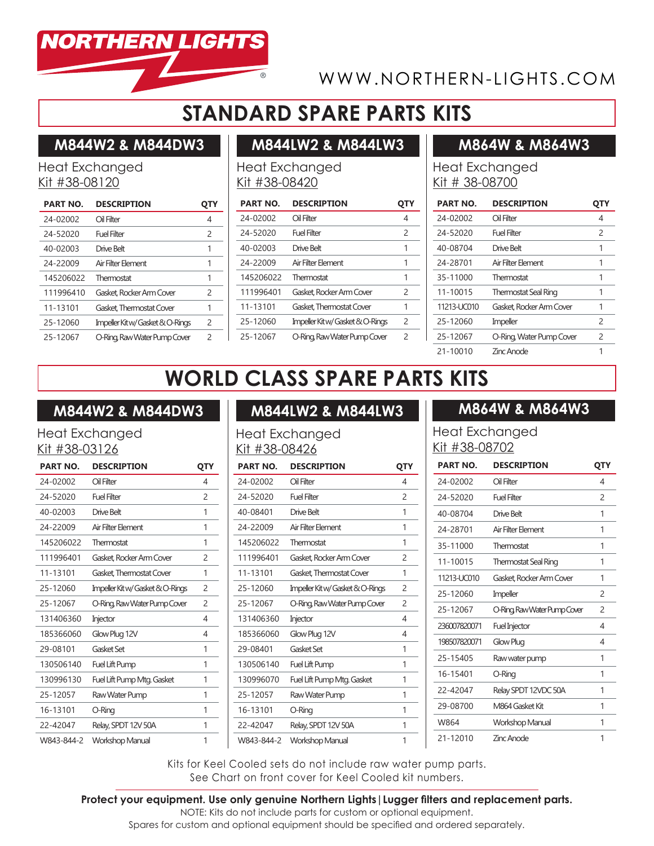

## WWW.NORTHERN-LIGHTS.COM

## **STANDARD SPARE PARTS KITS**

#### **M844W2 & M844DW3**

#### Heat Exchanged Kit #38-08120

| <b>PART NO.</b> | <b>DESCRIPTION</b>               | Q I Y         |
|-----------------|----------------------------------|---------------|
| 24-02002        | Oil Filter                       | 4             |
| 24-52020        | Fuel Filter                      | $\mathcal{P}$ |
| 40-02003        | Drive Belt                       | 1             |
| 24-22009        | Air Filter Flement               | 1             |
| 145206022       | Thermostat                       | 1             |
| 111996410       | Gasket Rocker Arm Cover          | $\mathcal{P}$ |
| 11-13101        | Gasket Thermostat Cover          | 1             |
| 25-12060        | Impeller Kit w/ Gasket & O-Rings | $\mathcal{P}$ |
| 25-12067        | O-Ring, Raw Water Pump Cover     | $\mathcal{P}$ |

## **M844LW2 & M844LW3**

#### Heat Exchanged Kit #38-08420

| <b>PART NO.</b> | <b>DESCRIPTION</b>               |               |
|-----------------|----------------------------------|---------------|
| 24-02002        | Oil Filter                       | 4             |
| 24-52020        | Fuel Filter                      | 2             |
| 40-02003        | Drive Belt                       | 1             |
| 24-22009        | Air Filter Flement               | 1             |
| 145206022       | Thermostat                       | 1             |
| 111996401       | Gasket, Rocker Arm Cover         | 2             |
| 11-13101        | Gasket Thermostat Cover          | 1             |
| 25-12060        | Impeller Kit w/ Gasket & O-Rings | $\mathcal{P}$ |
| 25-12067        | O-Ring, Raw Water Pump Cover     | ς             |

#### **M864W & M864W3**

#### Heat Exchanged Kit # 38-08700

| <b>PART NO.</b> | <b>DESCRIPTION</b>          |               |
|-----------------|-----------------------------|---------------|
| 24-02002        | Oil Filter                  | 4             |
| 24-52020        | Fuel Filter                 | $\mathcal{P}$ |
| 40-08704        | Drive Belt                  | 1             |
| 24-28701        | Air Filter Flement          | 1             |
| 35-11000        | Thermostat                  | 1             |
| 11-10015        | <b>Thermostat Seal Ring</b> | 1             |
| 11213-UC010     | Gasket, Rocker Arm Cover    | 1             |
| 25-12060        | Impeller                    | $\mathcal{P}$ |
| 25-12067        | O-Ring, Water Pump Cover    | $\mathcal{P}$ |
| 21-10010        | <b>Zinc Anode</b>           |               |

# **WORLD CLASS SPARE PARTS KITS**

#### **M844W2 & M844DW3**

#### Heat Exchanged Kit #38-03126

| <b>PART NO.</b> | <b>DESCRIPTION</b>               | QTY            |
|-----------------|----------------------------------|----------------|
| 24-02002        | Oil Filter                       | 4              |
| 24-52020        | Fuel Filter                      | $\mathcal{P}$  |
| 40-02003        | Drive Belt                       | 1              |
| 24-22009        | Air Filter Flement               | 1              |
| 145206022       | Thermostat                       | 1              |
| 111996401       | Gasket Rocker Arm Cover          | $\mathcal{P}$  |
| 11-13101        | Gasket Thermostat Cover          | 1              |
| 25-12060        | Impeller Kit w/ Gasket & O-Rings | $\overline{c}$ |
| 25-12067        | O-Ring, Raw Water Pump Cover     | $\overline{c}$ |
| 131406360       | Injector                         | 4              |
| 185366060       | Glow Plug 12V                    | 4              |
| 29-08101        | Gasket Set                       | 1              |
| 130506140       | Fuel Lift Pump                   | 1              |
| 130996130       | Fuel Lift Pump Mtg. Gasket       | 1              |
| 25-12057        | Raw Water Pump                   | 1              |
| 16-13101        | O-Ring                           | 1              |
| 22-42047        | Relay, SPDT 12V 50A              | 1              |
| W843-844-2      | <b>Workshop Manual</b>           | 1              |

## **M844LW2 & M844LW3**

#### Heat Exchanged Kit #38-08426

| <b>PART NO.</b> | <b>DESCRIPTION</b>               | QTY           |
|-----------------|----------------------------------|---------------|
| 24-02002        | Oil Filter                       | 4             |
| 24-52020        | <b>Fuel Filter</b>               | 2             |
| 40-08401        | Drive Belt                       | 1             |
| 24-22009        | Air Filter Flement               | 1             |
| 145206022       | Thermostat                       | 1             |
| 111996401       | Gasket, Rocker Arm Cover         | 2             |
| 11-13101        | Gasket, Thermostat Cover         | 1             |
| 25-12060        | Impeller Kit w/ Gasket & O-Rings | 2             |
| 25-12067        | O-Ring, Raw Water Pump Cover     | $\mathcal{P}$ |
| 131406360       | Injector                         | 4             |
| 185366060       | Glow Plug 12V                    | 4             |
| 29-08401        | Gasket Set                       | 1             |
| 130506140       | Fuel Lift Pump                   | 1             |
| 130996070       | Fuel Lift Pump Mtg. Gasket       | 1             |
| 25-12057        | Raw Water Pump                   | 1             |
| 16-13101        | O-Ring                           | 1             |
| 22-42047        | Relay, SPDT 12V 50A              | 1             |
| W843-844-2      | <b>Workshop Manual</b>           | 1             |

#### **M864W & M864W3**

#### Heat Exchanged Kit #38-08702

| <b>PART NO.</b> | <b>DESCRIPTION</b>           | QTY           |
|-----------------|------------------------------|---------------|
| 24-02002        | Oil Filter                   | 4             |
| 24-52020        | Fuel Filter                  | $\mathcal{P}$ |
| 40-08704        | Drive Belt                   | 1             |
| 24-28701        | Air Filter Flement           | 1             |
| 35-11000        | Thermostat                   | 1             |
| 11-10015        | <b>Thermostat Seal Ring</b>  | 1             |
| 11213-UC010     | Gasket Rocker Arm Cover      | 1             |
| 25-12060        | Impeller                     | 2             |
| 25-12067        | O-Ring, Raw Water Pump Cover | 2             |
| 236007820071    | <b>Fuel Injector</b>         | 4             |
| 198507820071    | Glow Plug                    | 4             |
| 25-15405        | Raw water pump               | 1             |
| 16-15401        | O-Ring                       | 1             |
| 22-42047        | Relay SPDT 12VDC 50A         | 1             |
| 29-08700        | M864 Gasket Kit              | 1             |
| W864            | Workshop Manual              | 1             |
| 21-12010        | Zinc Anode                   | 1             |

Kits for Keel Cooled sets do not include raw water pump parts. See Chart on front cover for Keel Cooled kit numbers.

#### **Protect your equipment. Use only genuine Northern Lights|Lugger filters and replacement parts.**

NOTE: Kits do not include parts for custom or optional equipment.

Spares for custom and optional equipment should be specified and ordered separately.